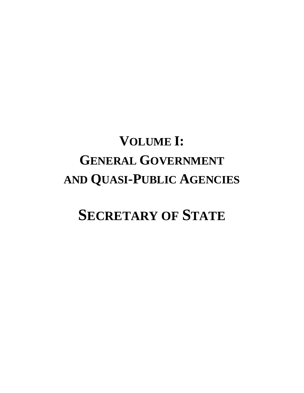# **VOLUME I: GENERAL GOVERNMENT AND QUASI-PUBLIC AGENCIES**

# **SECRETARY OF STATE**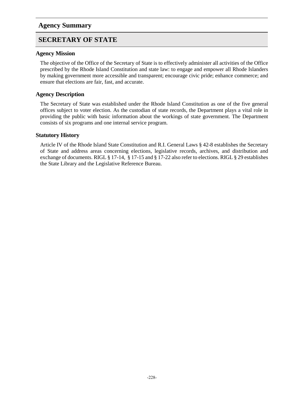### **Agency Summary**

### **SECRETARY OF STATE**

#### **Agency Mission**

The objective of the Office of the Secretary of State is to effectively administer all activities of the Office prescribed by the Rhode Island Constitution and state law: to engage and empower all Rhode Islanders by making government more accessible and transparent; encourage civic pride; enhance commerce; and ensure that elections are fair, fast, and accurate.

#### **Agency Description**

The Secretary of State was established under the Rhode Island Constitution as one of the five general offices subject to voter election. As the custodian of state records, the Department plays a vital role in providing the public with basic information about the workings of state government. The Department consists of six programs and one internal service program.

#### **Statutory History**

Article IV of the Rhode Island State Constitution and R.I. General Laws § 42-8 establishes the Secretary of State and address areas concerning elections, legislative records, archives, and distribution and exchange of documents. RIGL § 17-14, § 17-15 and § 17-22 also refer to elections. RIGL § 29 establishes the State Library and the Legislative Reference Bureau.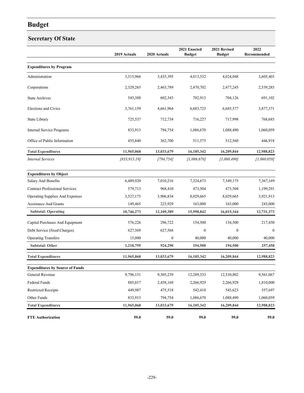### **Secretary Of State**

|                                        | 2019 Actuals  | 2020 Actuals | 2021 Enacted<br><b>Budget</b> | 2021 Revised<br><b>Budget</b> | 2022<br>Recommended |
|----------------------------------------|---------------|--------------|-------------------------------|-------------------------------|---------------------|
| <b>Expenditures by Program</b>         |               |              |                               |                               |                     |
| Administration                         | 3,315,966     | 3,435,395    | 4,013,532                     | 4,024,048                     | 3,605,403           |
| Corporations                           | 2,329,265     | 2,463,789    | 2,470,702                     | 2,477,245                     | 2,539,285           |
| <b>State Archives</b>                  | 543,388       | 602,343      | 702,913                       | 704,126                       | 691,102             |
| <b>Elections and Civics</b>            | 3,761,159     | 4,661,964    | 6,683,723                     | 6,685,377                     | 3,877,371           |
| State Library                          | 725,537       | 712,734      | 716,227                       | 717,998                       | 768,685             |
| <b>Internal Service Programs</b>       | 833,913       | 794,754      | 1,086,670                     | 1,088,490                     | 1,060,059           |
| Office of Public Information           | 455,840       | 362,700      | 511,575                       | 512,560                       | 446,918             |
| <b>Total Expenditures</b>              | 11,965,068    | 13,033,679   | 16,185,342                    | 16,209,844                    | 12,988,823          |
| <b>Internal Services</b>               | [833, 913.19] | [794, 754]   | [1,086,670]                   | [1,088,490]                   | [1,060,059]         |
| <b>Expenditures by Object</b>          |               |              |                               |                               |                     |
| Salary And Benefits                    | 6,489,920     | 7,010,216    | 7,324,673                     | 7,349,175                     | 7,367,169           |
| <b>Contract Professional Services</b>  | 579,713       | 968,410      | 473,504                       | 473,504                       | 1,199,291           |
| Operating Supplies And Expenses        | 3,527,175     | 3,906,834    | 8,029,665                     | 8,029,665                     | 3,921,913           |
| <b>Assistance And Grants</b>           | 149,465       | 223,929      | 163,000                       | 163,000                       | 243,000             |
| <b>Subtotal: Operating</b>             | 10,746,273    | 12,109,389   | 15,990,842                    | 16,015,344                    | 12,731,373          |
| Capital Purchases And Equipment        | 576,226       | 296,722      | 154,500                       | 154,500                       | 217,450             |
| Debt Service (fixed Charges)           | 627,569       | 627,568      | $\mathbf{0}$                  | $\mathbf{0}$                  | $\theta$            |
| <b>Operating Transfers</b>             | 15,000        | $\mathbf{0}$ | 40,000                        | 40,000                        | 40,000              |
| <b>Subtotal: Other</b>                 | 1,218,795     | 924,290      | 194,500                       | 194,500                       | 257,450             |
| <b>Total Expenditures</b>              | 11,965,068    | 13,033,679   | 16,185,342                    | 16,209,844                    | 12,988,823          |
| <b>Expenditures by Source of Funds</b> |               |              |                               |                               |                     |
| General Revenue                        | 9,796,151     | 9,305,239    | 12,289,333                    | 12,310,802                    | 9,561,067           |
| Federal Funds                          | 885,017       | 2,458,169    | 2,266,929                     | 2,266,929                     | 1,810,000           |
| <b>Restricted Receipts</b>             | 449,987       | 475,518      | 542,410                       | 543,623                       | 557,697             |
| Other Funds                            | 833,913       | 794,754      | 1,086,670                     | 1,088,490                     | 1,060,059           |
| <b>Total Expenditures</b>              | 11,965,068    | 13,033,679   | 16,185,342                    | 16,209,844                    | 12,988,823          |
| <b>FTE Authorization</b>               | 59.0          | 59.0         | 59.0                          | 59.0                          | 59.0                |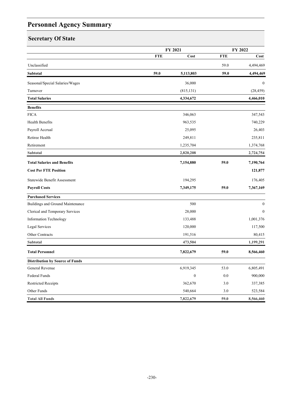# **Personnel Agency Summary**

# **Secretary Of State**

|                                        |            | FY 2021          |            | FY 2022          |  |
|----------------------------------------|------------|------------------|------------|------------------|--|
|                                        | <b>FTE</b> | Cost             | <b>FTE</b> | Cost             |  |
| Unclassified                           |            |                  | 59.0       | 4,494,469        |  |
| Subtotal                               | 59.0       | 5,113,803        | 59.0       | 4,494,469        |  |
| Seasonal/Special Salaries/Wages        |            | 36,000           |            | $\theta$         |  |
| Turnover                               |            | (815, 131)       |            | (28, 459)        |  |
| <b>Total Salaries</b>                  |            | 4,334,672        |            | 4,466,010        |  |
| <b>Benefits</b>                        |            |                  |            |                  |  |
| <b>FICA</b>                            |            | 346,063          |            | 347,543          |  |
| Health Benefits                        |            | 963,535          |            | 740,229          |  |
| Payroll Accrual                        |            | 25,095           |            | 26,403           |  |
| Retiree Health                         |            | 249,811          |            | 235,811          |  |
| Retirement                             |            | 1,235,704        |            | 1,374,768        |  |
| Subtotal                               |            | 2,820,208        |            | 2,724,754        |  |
| <b>Total Salaries and Benefits</b>     |            | 7,154,880        | 59.0       | 7,190,764        |  |
| <b>Cost Per FTE Position</b>           |            |                  |            | 121,877          |  |
| Statewide Benefit Assessment           |            | 194,295          |            | 176,405          |  |
| <b>Payroll Costs</b>                   |            | 7,349,175        | 59.0       | 7,367,169        |  |
| <b>Purchased Services</b>              |            |                  |            |                  |  |
| Buildings and Ground Maintenance       |            | 500              |            | $\boldsymbol{0}$ |  |
| Clerical and Temporary Services        |            | 28,000           |            | $\mathbf{0}$     |  |
| <b>Information Technology</b>          |            | 133,488          |            | 1,001,376        |  |
| Legal Services                         |            | 120,000          |            | 117,500          |  |
| Other Contracts                        |            | 191,516          |            | 80,415           |  |
| Subtotal                               |            | 473,504          |            | 1,199,291        |  |
| <b>Total Personnel</b>                 |            | 7,822,679        | 59.0       | 8,566,460        |  |
| <b>Distribution by Source of Funds</b> |            |                  |            |                  |  |
| General Revenue                        |            | 6,919,345        | 53.0       | 6,805,491        |  |
| Federal Funds                          |            | $\boldsymbol{0}$ | 0.0        | 900,000          |  |
| <b>Restricted Receipts</b>             |            | 362,670          | 3.0        | 337,385          |  |
| Other Funds                            |            | 540,664          | 3.0        | 523,584          |  |
| <b>Total All Funds</b>                 |            | 7,822,679        | 59.0       | 8,566,460        |  |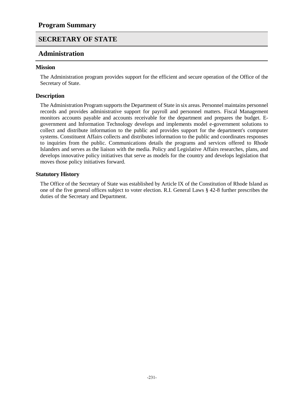#### **Administration**

#### **Mission**

The Administration program provides support for the efficient and secure operation of the Office of the Secretary of State.

#### **Description**

The Administration Program supports the Department of State in six areas. Personnel maintains personnel records and provides administrative support for payroll and personnel matters. Fiscal Management monitors accounts payable and accounts receivable for the department and prepares the budget. Egovernment and Information Technology develops and implements model e-government solutions to collect and distribute information to the public and provides support for the department's computer systems. Constituent Affairs collects and distributes information to the public and coordinates responses to inquiries from the public. Communications details the programs and services offered to Rhode Islanders and serves as the liaison with the media. Policy and Legislative Affairs researches, plans, and develops innovative policy initiatives that serve as models for the country and develops legislation that moves those policy initiatives forward.

#### **Statutory History**

The Office of the Secretary of State was established by Article IX of the Constitution of Rhode Island as one of the five general offices subject to voter election. R.I. General Laws § 42-8 further prescribes the duties of the Secretary and Department.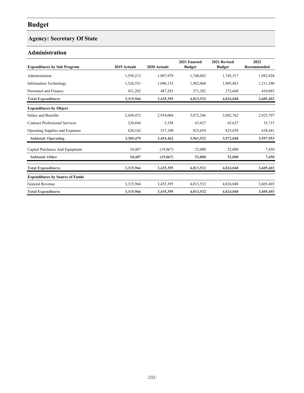# **Agency: Secretary Of State**

### **Administration**

| <b>Expenditures by Sub Program</b>     | 2019 Actuals | 2020 Actuals | 2021 Enacted<br><b>Budget</b> | 2021 Revised<br><b>Budget</b> | 2022<br>Recommended |
|----------------------------------------|--------------|--------------|-------------------------------|-------------------------------|---------------------|
| Administration                         | 1,558,213    | 1,907,979    | 1,740,082                     | 1,745,517                     | 1,982,928           |
| <b>Information Technology</b>          | 1,326,551    | 1,040,133    | 1,902,068                     | 1,905,863                     | 1,211,590           |
| Personnel and Finance                  | 431,202      | 487,283      | 371,382                       | 372,668                       | 410,885             |
| <b>Total Expenditures</b>              | 3,315,966    | 3,435,395    | 4,013,532                     | 4,024,048                     | 3,605,403           |
| <b>Expenditures by Object</b>          |              |              |                               |                               |                     |
| Salary and Benefits                    | 2,450,472    | 2,934,004    | 3,072,246                     | 3,082,762                     | 2,923,797           |
| <b>Contract Professional Services</b>  | 234,844      | 3,358        | 63,627                        | 63,627                        | 35,715              |
| <b>Operating Supplies and Expenses</b> | 620,162      | 517,100      | 825,659                       | 825,659                       | 638,441             |
| <b>Subtotal: Operating</b>             | 3,305,479    | 3,454,462    | 3,961,532                     | 3,972,048                     | 3,597,953           |
| Capital Purchases And Equipment        | 10,487       | (19,067)     | 52,000                        | 52,000                        | 7,450               |
| <b>Subtotal: Other</b>                 | 10,487       | (19,067)     | 52,000                        | 52,000                        | 7,450               |
| <b>Total Expenditures</b>              | 3,315,966    | 3,435,395    | 4,013,532                     | 4,024,048                     | 3,605,403           |
| <b>Expenditures by Source of Funds</b> |              |              |                               |                               |                     |
| General Revenue                        | 3,315,966    | 3,435,395    | 4,013,532                     | 4,024,048                     | 3,605,403           |
| <b>Total Expenditures</b>              | 3,315,966    | 3,435,395    | 4,013,532                     | 4,024,048                     | 3,605,403           |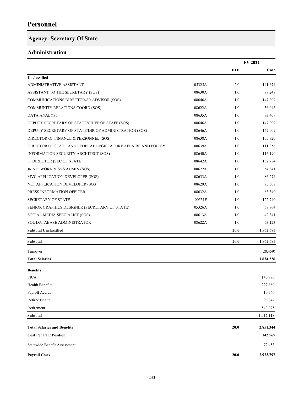# **Agency: Secretary Of State**

### **Administration**

|                                                              |        |            | FY 2022   |
|--------------------------------------------------------------|--------|------------|-----------|
|                                                              |        | <b>FTE</b> | Cost      |
| Unclassified                                                 |        |            |           |
| ADMINISTRATIVE ASSISTANT                                     | 05325A | 2.0        | 141,674   |
| ASSISTANT TO THE SECRETARY (SOS)                             | 08630A | 1.0        | 78,248    |
| COMMUNICATIONS DIRECTOR/SR ADVISOR (SOS)                     | 08646A | 1.0        | 147,009   |
| COMMUNITY RELATIONS COORD (SOS)                              | 08622A | 1.0        | 56,046    |
| <b>DATA ANALYST</b>                                          | 08635A | 1.0        | 93,409    |
| DEPUTY SECRETARY OF STATE/CHIEF OF STAFF (SOS)               | 08646A | 1.0        | 147,009   |
| DEPUTY SECRETARY OF STATE/DIR OF ADMINISTRATION (SOS)        | 08646A | 1.0        | 147,009   |
| DIRECTOR OF FINANCE & PERSONNEL (SOS)                        | 08638A | 1.0        | 105,920   |
| DIRECTOR OF STATE AND FEDERAL LEGISLATURE AFFAIRS AND POLICY | 08639A | 1.0        | 111,056   |
| INFORMATION SECURITY ARCHITECT (SOS)                         | 08640A | 1.0        | 116,190   |
| IT DIRECTOR (SEC OF STATE)                                   | 08642A | 1.0        | 132,784   |
| JR NETWORK & SYS ADMIN (SOS)                                 | 08622A | 1.0        | 54,341    |
| MVC APPLICATION DEVELOPER (SOS)                              | 08633A | 1.0        | 86,274    |
| NET APPLICATION DEVELOPER (SOS                               | 08629A | 1.0        | 75,308    |
| PRESS INFORMATION OFFICER                                    | 08632A | 1.0        | 83,340    |
| <b>SECRETARY OF STATE</b>                                    | 00531F | 1.0        | 122,740   |
| SENIOR GRAPHICS DESIGNER (SECRETARY OF STATE)                | 05326A | 1.0        | 68,864    |
| SOCIAL MEDIA SPECIALIST (SOS)                                | 08613A | 1.0        | 42,341    |
| SQL DATABASE ADMINISTRATOR                                   | 08622A | 1.0        | 53,123    |
| <b>Subtotal Unclassified</b>                                 |        | 20.0       | 1,862,685 |
| <b>Subtotal</b>                                              |        | 20.0       | 1,862,685 |
| Turnover                                                     |        |            | (28, 459) |
| <b>Total Salaries</b>                                        |        |            | 1,834,226 |
| <b>Benefits</b>                                              |        |            |           |
| <b>FICA</b>                                                  |        |            | 140,876   |
| Health Benefits                                              |        |            | 227,680   |
| Payroll Accrual                                              |        |            | 10,740    |
| Retiree Health                                               |        |            | 96,847    |
| Retirement                                                   |        |            | 540,975   |
| Subtotal                                                     |        |            | 1,017,118 |
| <b>Total Salaries and Benefits</b>                           |        | 20.0       | 2,851,344 |
| <b>Cost Per FTE Position</b>                                 |        |            | 142,567   |
| Statewide Benefit Assessment                                 |        |            | 72,453    |
| <b>Payroll Costs</b>                                         |        | 20.0       | 2,923,797 |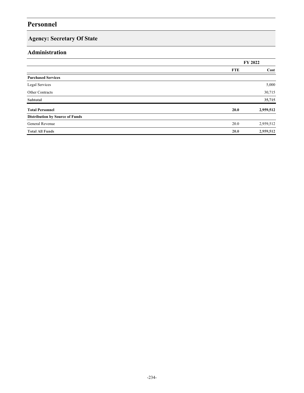# **Agency: Secretary Of State**

### **Administration**

|                                        |            | FY 2022   |
|----------------------------------------|------------|-----------|
|                                        | <b>FTE</b> | Cost      |
| <b>Purchased Services</b>              |            |           |
| Legal Services                         |            | 5,000     |
| Other Contracts                        |            | 30,715    |
| Subtotal                               |            | 35,715    |
| <b>Total Personnel</b>                 | 20.0       | 2,959,512 |
| <b>Distribution by Source of Funds</b> |            |           |
| General Revenue                        | 20.0       | 2,959,512 |
| <b>Total All Funds</b>                 | 20.0       | 2,959,512 |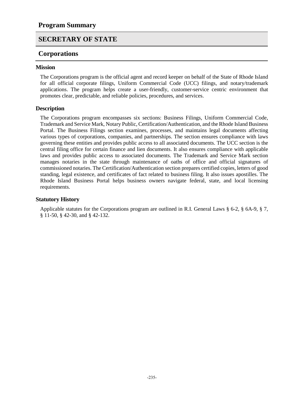#### **Corporations**

#### **Mission**

The Corporations program is the official agent and record keeper on behalf of the State of Rhode Island for all official corporate filings, Uniform Commercial Code (UCC) filings, and notary/trademark applications. The program helps create a user-friendly, customer-service centric environment that promotes clear, predictable, and reliable policies, procedures, and services.

#### **Description**

The Corporations program encompasses six sections: Business Filings, Uniform Commercial Code, Trademark and Service Mark, Notary Public, Certification/Authentication, and the Rhode Island Business Portal. The Business Filings section examines, processes, and maintains legal documents affecting various types of corporations, companies, and partnerships. The section ensures compliance with laws governing these entities and provides public access to all associated documents. The UCC section is the central filing office for certain finance and lien documents. It also ensures compliance with applicable laws and provides public access to associated documents. The Trademark and Service Mark section manages notaries in the state through maintenance of oaths of office and official signatures of commissioned notaries. The Certification/Authentication section prepares certified copies, letters of good standing, legal existence, and certificates of fact related to business filing. It also issues apostilles. The Rhode Island Business Portal helps business owners navigate federal, state, and local licensing requirements.

#### **Statutory History**

Applicable statutes for the Corporations program are outlined in R.I. General Laws § 6-2, § 6A-9, § 7, § 11-50, § 42-30, and § 42-132.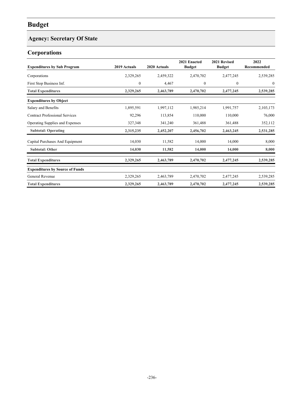### **Agency: Secretary Of State**

# **Corporations**

| <b>Expenditures by Sub Program</b>     | 2019 Actuals | 2020 Actuals | 2021 Enacted<br><b>Budget</b> | 2021 Revised<br><b>Budget</b> | 2022<br>Recommended |
|----------------------------------------|--------------|--------------|-------------------------------|-------------------------------|---------------------|
| Corporations                           | 2,329,265    | 2,459,322    | 2,470,702                     | 2,477,245                     | 2,539,285           |
| First Stop Business Inf.               | $\mathbf{0}$ | 4,467        | $\mathbf{0}$                  | $\overline{0}$                | $\mathbf{0}$        |
| <b>Total Expenditures</b>              | 2,329,265    | 2,463,789    | 2,470,702                     | 2,477,245                     | 2,539,285           |
| <b>Expenditures by Object</b>          |              |              |                               |                               |                     |
| Salary and Benefits                    | 1,895,591    | 1,997,112    | 1,985,214                     | 1,991,757                     | 2,103,173           |
| <b>Contract Professional Services</b>  | 92,296       | 113,854      | 110,000                       | 110,000                       | 76,000              |
| <b>Operating Supplies and Expenses</b> | 327,348      | 341,240      | 361,488                       | 361,488                       | 352,112             |
| <b>Subtotal: Operating</b>             | 2,315,235    | 2,452,207    | 2,456,702                     | 2,463,245                     | 2,531,285           |
| Capital Purchases And Equipment        | 14,030       | 11,582       | 14,000                        | 14,000                        | 8,000               |
| <b>Subtotal: Other</b>                 | 14,030       | 11,582       | 14,000                        | 14,000                        | 8,000               |
| <b>Total Expenditures</b>              | 2,329,265    | 2,463,789    | 2,470,702                     | 2,477,245                     | 2,539,285           |
| <b>Expenditures by Source of Funds</b> |              |              |                               |                               |                     |
| General Revenue                        | 2,329,265    | 2,463,789    | 2,470,702                     | 2,477,245                     | 2,539,285           |
| <b>Total Expenditures</b>              | 2,329,265    | 2,463,789    | 2,470,702                     | 2,477,245                     | 2,539,285           |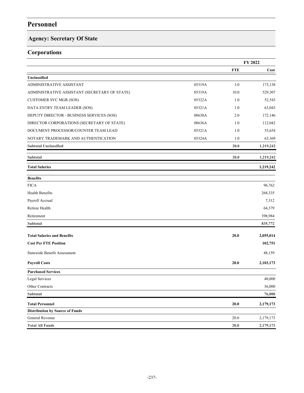# **Agency: Secretary Of State**

### **Corporations**

|                                               |        |            | FY 2022   |
|-----------------------------------------------|--------|------------|-----------|
|                                               |        | <b>FTE</b> | Cost      |
| Unclassified                                  |        |            |           |
| ADMINISTRATIVE ASSISTANT                      | 05319A | 3.0        | 173,138   |
| ADMINISTRATIVE ASSISTANT (SECRETARY OF STATE) | 05319A | 10.0       | 529,307   |
| <b>CUSTOMER SVC MGR (SOS)</b>                 | 05322A | 1.0        | 52,543    |
| DATA ENTRY TEAM LEADER (SOS)                  | 05321A | 1.0        | 63,043    |
| DEPUTY DIRECTOR - BUSINESS SERVICES (SOS)     | 08630A | 2.0        | 172,146   |
| DIRECTOR CORPORATIONS (SECRETARY OF STATE)    | 08636A | 1.0        | 112,042   |
| DOCUMENT PROCESSOR/COUNTER TEAM LEAD          | 05321A | 1.0        | 53,654    |
| NOTARY TRADEMARK AND AUTHENTICATION           | 05324A | 1.0        | 63,369    |
| <b>Subtotal Unclassified</b>                  |        | 20.0       | 1,219,242 |
| Subtotal                                      |        | 20.0       | 1,219,242 |
| <b>Total Salaries</b>                         |        |            | 1,219,242 |
| <b>Benefits</b>                               |        |            |           |
| <b>FICA</b>                                   |        |            | 96,762    |
| Health Benefits                               |        |            | 268,335   |
| Payroll Accrual                               |        |            | 7,312     |
| Retiree Health                                |        |            | 64,379    |
| Retirement                                    |        |            | 398,984   |
| Subtotal                                      |        |            | 835,772   |
| <b>Total Salaries and Benefits</b>            |        | 20.0       | 2,055,014 |
| <b>Cost Per FTE Position</b>                  |        |            | 102,751   |
| Statewide Benefit Assessment                  |        |            | 48,159    |
| <b>Payroll Costs</b>                          |        | 20.0       | 2,103,173 |
| <b>Purchased Services</b>                     |        |            |           |
| Legal Services                                |        |            | 40,000    |
| Other Contracts                               |        |            | 36,000    |
| Subtotal                                      |        |            | 76,000    |
| <b>Total Personnel</b>                        |        | 20.0       | 2,179,173 |
| <b>Distribution by Source of Funds</b>        |        |            |           |
| General Revenue                               |        | 20.0       | 2,179,173 |
| <b>Total All Funds</b>                        |        | 20.0       | 2,179,173 |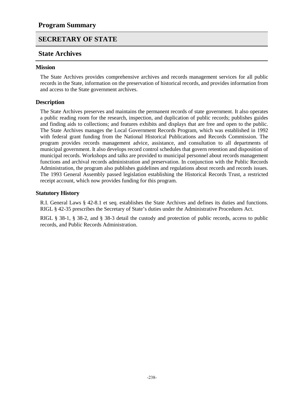#### **State Archives**

#### **Mission**

The State Archives provides comprehensive archives and records management services for all public records in the State, information on the preservation of historical records, and provides information from and access to the State government archives.

#### **Description**

The State Archives preserves and maintains the permanent records of state government. It also operates a public reading room for the research, inspection, and duplication of public records; publishes guides and finding aids to collections; and features exhibits and displays that are free and open to the public. The State Archives manages the Local Government Records Program, which was established in 1992 with federal grant funding from the National Historical Publications and Records Commission. The program provides records management advice, assistance, and consultation to all departments of municipal government. It also develops record control schedules that govern retention and disposition of municipal records. Workshops and talks are provided to municipal personnel about records management functions and archival records administration and preservation. In conjunction with the Public Records Administration, the program also publishes guidelines and regulations about records and records issues. The 1993 General Assembly passed legislation establishing the Historical Records Trust, a restricted receipt account, which now provides funding for this program.

#### **Statutory History**

R.I. General Laws § 42-8.1 et seq. establishes the State Archives and defines its duties and functions. RIGL § 42-35 prescribes the Secretary of State's duties under the Administrative Procedures Act.

RIGL § 38-1, § 38-2, and § 38-3 detail the custody and protection of public records, access to public records, and Public Records Administration.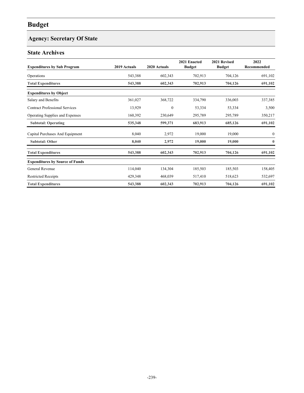# **Agency: Secretary Of State**

### **State Archives**

| <b>Expenditures by Sub Program</b>     | 2019 Actuals | 2020 Actuals | 2021 Enacted<br><b>Budget</b> | 2021 Revised<br><b>Budget</b> | 2022<br>Recommended |
|----------------------------------------|--------------|--------------|-------------------------------|-------------------------------|---------------------|
| Operations                             | 543,388      | 602,343      | 702,913                       | 704,126                       | 691,102             |
| <b>Total Expenditures</b>              | 543,388      | 602,343      | 702,913                       | 704,126                       | 691,102             |
| <b>Expenditures by Object</b>          |              |              |                               |                               |                     |
| Salary and Benefits                    | 361,027      | 368,722      | 334,790                       | 336,003                       | 337,385             |
| <b>Contract Professional Services</b>  | 13,929       | $\mathbf{0}$ | 53,334                        | 53,334                        | 3,500               |
| Operating Supplies and Expenses        | 160,392      | 230,649      | 295,789                       | 295,789                       | 350,217             |
| <b>Subtotal: Operating</b>             | 535,348      | 599,371      | 683,913                       | 685,126                       | 691,102             |
| Capital Purchases And Equipment        | 8,040        | 2,972        | 19,000                        | 19,000                        | $\bf{0}$            |
| <b>Subtotal: Other</b>                 | 8,040        | 2,972        | 19,000                        | 19,000                        | $\bf{0}$            |
| <b>Total Expenditures</b>              | 543,388      | 602,343      | 702,913                       | 704,126                       | 691,102             |
| <b>Expenditures by Source of Funds</b> |              |              |                               |                               |                     |
| General Revenue                        | 114,040      | 134,304      | 185,503                       | 185,503                       | 158,405             |
| <b>Restricted Receipts</b>             | 429,348      | 468,039      | 517,410                       | 518,623                       | 532,697             |
| <b>Total Expenditures</b>              | 543,388      | 602,343      | 702,913                       | 704,126                       | 691,102             |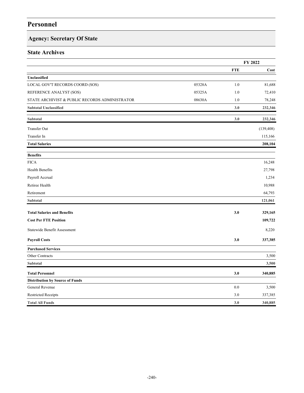### **Agency: Secretary Of State**

### **State Archives**

|                                                |        |            | FY 2022    |
|------------------------------------------------|--------|------------|------------|
|                                                |        | <b>FTE</b> | Cost       |
| Unclassified                                   |        |            |            |
| LOCAL GOV'T RECORDS COORD (SOS)                | 05328A | 1.0        | 81,688     |
| REFERENCE ANALYST (SOS)                        | 05325A | 1.0        | 72,410     |
| STATE ARCHIVIST & PUBLIC RECORDS ADMINISTRATOR | 08630A | 1.0        | 78,248     |
| <b>Subtotal Unclassified</b>                   |        | 3.0        | 232,346    |
| Subtotal                                       |        | 3.0        | 232,346    |
| <b>Transfer Out</b>                            |        |            | (139, 408) |
| Transfer In                                    |        |            | 115,166    |
| <b>Total Salaries</b>                          |        |            | 208,104    |
| <b>Benefits</b>                                |        |            |            |
| <b>FICA</b>                                    |        |            | 16,248     |
| Health Benefits                                |        |            | 27,798     |
| Payroll Accrual                                |        |            | 1,234      |
| Retiree Health                                 |        |            | 10,988     |
| Retirement                                     |        |            | 64,793     |
| Subtotal                                       |        |            | 121,061    |
| <b>Total Salaries and Benefits</b>             |        | 3.0        | 329,165    |
| <b>Cost Per FTE Position</b>                   |        |            | 109,722    |
| Statewide Benefit Assessment                   |        |            | 8,220      |
| <b>Payroll Costs</b>                           |        | 3.0        | 337,385    |
| <b>Purchased Services</b>                      |        |            |            |
| Other Contracts                                |        |            | 3,500      |
| Subtotal                                       |        |            | 3,500      |
| <b>Total Personnel</b>                         |        | 3.0        | 340,885    |
| <b>Distribution by Source of Funds</b>         |        |            |            |
| General Revenue                                |        | 0.0        | 3,500      |
| <b>Restricted Receipts</b>                     |        | 3.0        | 337,385    |
| <b>Total All Funds</b>                         |        | 3.0        | 340,885    |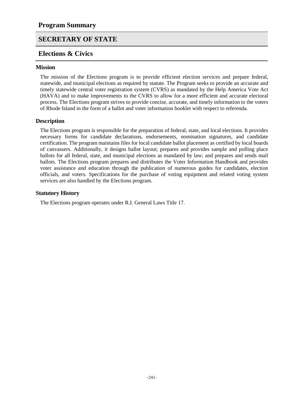### **Elections & Civics**

#### **Mission**

The mission of the Elections program is to provide efficient election services and prepare federal, statewide, and municipal elections as required by statute. The Program seeks to provide an accurate and timely statewide central voter registration system (CVRS) as mandated by the Help America Vote Act (HAVA) and to make improvements to the CVRS to allow for a more efficient and accurate electoral process. The Elections program strives to provide concise, accurate, and timely information to the voters of Rhode Island in the form of a ballot and voter information booklet with respect to referenda.

#### **Description**

The Elections program is responsible for the preparation of federal, state, and local elections. It provides necessary forms for candidate declarations, endorsements, nomination signatures, and candidate certification. The program maintains files for local candidate ballot placement as certified by local boards of canvassers. Additionally, it designs ballot layout; prepares and provides sample and polling place ballots for all federal, state, and municipal elections as mandated by law; and prepares and sends mail ballots. The Elections program prepares and distributes the Voter Information Handbook and provides voter assistance and education through the publication of numerous guides for candidates, election officials, and voters. Specifications for the purchase of voting equipment and related voting system services are also handled by the Elections program.

#### **Statutory History**

The Elections program operates under R.I. General Laws Title 17.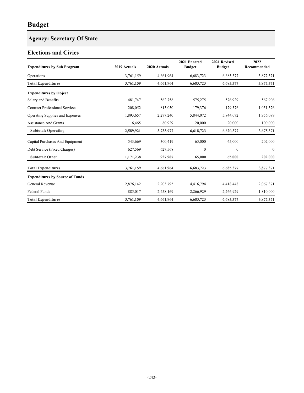# **Agency: Secretary Of State**

### **Elections and Civics**

| <b>Expenditures by Sub Program</b>     | 2019 Actuals | 2020 Actuals | 2021 Enacted<br><b>Budget</b> | 2021 Revised<br><b>Budget</b> | 2022<br>Recommended |
|----------------------------------------|--------------|--------------|-------------------------------|-------------------------------|---------------------|
| Operations                             | 3,761,159    | 4,661,964    | 6,683,723                     | 6,685,377                     | 3,877,371           |
| <b>Total Expenditures</b>              | 3,761,159    | 4,661,964    | 6,683,723                     | 6,685,377                     | 3,877,371           |
| <b>Expenditures by Object</b>          |              |              |                               |                               |                     |
| Salary and Benefits                    | 481,747      | 562,758      | 575,275                       | 576,929                       | 567,906             |
| <b>Contract Professional Services</b>  | 208,052      | 813,050      | 179,376                       | 179,376                       | 1,051,376           |
| Operating Supplies and Expenses        | 1,893,657    | 2,277,240    | 5,844,072                     | 5,844,072                     | 1,956,089           |
| <b>Assistance And Grants</b>           | 6,465        | 80,929       | 20,000                        | 20,000                        | 100,000             |
| <b>Subtotal: Operating</b>             | 2,589,921    | 3,733,977    | 6,618,723                     | 6,620,377                     | 3,675,371           |
| Capital Purchases And Equipment        | 543,669      | 300,419      | 65,000                        | 65,000                        | 202,000             |
| Debt Service (Fixed Charges)           | 627,569      | 627,568      | $\boldsymbol{0}$              | $\boldsymbol{0}$              | $\bf{0}$            |
| <b>Subtotal: Other</b>                 | 1,171,238    | 927,987      | 65,000                        | 65,000                        | 202,000             |
| <b>Total Expenditures</b>              | 3,761,159    | 4,661,964    | 6,683,723                     | 6,685,377                     | 3,877,371           |
| <b>Expenditures by Source of Funds</b> |              |              |                               |                               |                     |
| General Revenue                        | 2,876,142    | 2,203,795    | 4,416,794                     | 4,418,448                     | 2,067,371           |
| <b>Federal Funds</b>                   | 885,017      | 2,458,169    | 2,266,929                     | 2,266,929                     | 1,810,000           |
| <b>Total Expenditures</b>              | 3,761,159    | 4,661,964    | 6,683,723                     | 6,685,377                     | 3,877,371           |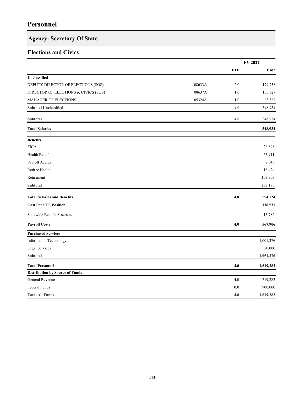# **Agency: Secretary Of State**

### **Elections and Civics**

|                                        |        |            | FY 2022   |
|----------------------------------------|--------|------------|-----------|
|                                        |        | <b>FTE</b> | Cost      |
| Unclassified                           |        |            |           |
| DEPUTY DIRECTOR OF ELECTIONS (SOS)     | 08633A | 2.0        | 179,738   |
| DIRECTOR OF ELECTIONS & CIVICS (SOS)   | 08637A | 1.0        | 105,827   |
| <b>MANAGER OF ELECTIONS</b>            | 05324A | 1.0        | 63,369    |
| <b>Subtotal Unclassified</b>           |        | 4.0        | 348,934   |
| Subtotal                               |        | 4.0        | 348,934   |
| <b>Total Salaries</b>                  |        |            | 348,934   |
| <b>Benefits</b>                        |        |            |           |
| <b>FICA</b>                            |        |            | 26,898    |
| Health Benefits                        |        |            | 53,911    |
| Payroll Accrual                        |        |            | 2,048     |
| Retiree Health                         |        |            | 18,424    |
| Retirement                             |        |            | 103,909   |
| Subtotal                               |        |            | 205,190   |
| <b>Total Salaries and Benefits</b>     |        | 4.0        | 554,124   |
| <b>Cost Per FTE Position</b>           |        |            | 138,531   |
| Statewide Benefit Assessment           |        |            | 13,782    |
| <b>Payroll Costs</b>                   |        | 4.0        | 567,906   |
| <b>Purchased Services</b>              |        |            |           |
| Information Technology                 |        |            | 1,001,376 |
| Legal Services                         |        |            | 50,000    |
| Subtotal                               |        |            | 1,051,376 |
| <b>Total Personnel</b>                 |        | $4.0$      | 1,619,282 |
| <b>Distribution by Source of Funds</b> |        |            |           |
| General Revenue                        |        | 4.0        | 719,282   |
| Federal Funds                          |        | 0.0        | 900,000   |
| <b>Total All Funds</b>                 |        | 4.0        | 1,619,282 |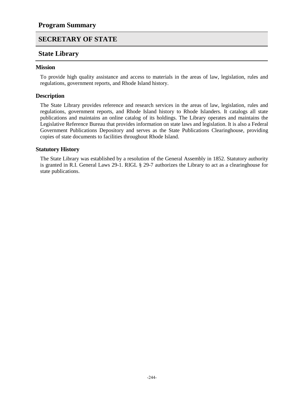### **State Library**

#### **Mission**

To provide high quality assistance and access to materials in the areas of law, legislation, rules and regulations, government reports, and Rhode Island history.

#### **Description**

The State Library provides reference and research services in the areas of law, legislation, rules and regulations, government reports, and Rhode Island history to Rhode Islanders. It catalogs all state publications and maintains an online catalog of its holdings. The Library operates and maintains the Legislative Reference Bureau that provides information on state laws and legislation. It is also a Federal Government Publications Depository and serves as the State Publications Clearinghouse, providing copies of state documents to facilities throughout Rhode Island.

#### **Statutory History**

The State Library was established by a resolution of the General Assembly in 1852. Statutory authority is granted in R.I. General Laws 29-1. RIGL § 29-7 authorizes the Library to act as a clearinghouse for state publications.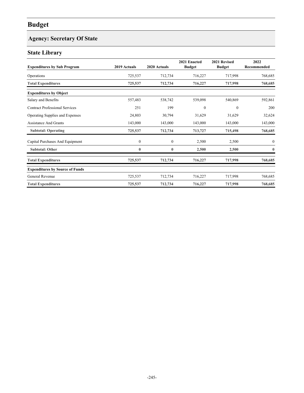# **Agency: Secretary Of State**

### **State Library**

| <b>Expenditures by Sub Program</b>     | 2019 Actuals     | 2020 Actuals     | 2021 Enacted<br><b>Budget</b> | 2021 Revised<br><b>Budget</b> | 2022<br>Recommended |
|----------------------------------------|------------------|------------------|-------------------------------|-------------------------------|---------------------|
| Operations                             | 725,537          | 712,734          | 716,227                       | 717,998                       | 768,685             |
| <b>Total Expenditures</b>              | 725,537          | 712,734          | 716,227                       | 717,998                       | 768,685             |
| <b>Expenditures by Object</b>          |                  |                  |                               |                               |                     |
| Salary and Benefits                    | 557,483          | 538,742          | 539,098                       | 540,869                       | 592,861             |
| <b>Contract Professional Services</b>  | 251              | 199              | $\mathbf{0}$                  | $\mathbf{0}$                  | 200                 |
| Operating Supplies and Expenses        | 24,803           | 30,794           | 31,629                        | 31,629                        | 32,624              |
| <b>Assistance And Grants</b>           | 143,000          | 143,000          | 143,000                       | 143,000                       | 143,000             |
| <b>Subtotal: Operating</b>             | 725,537          | 712,734          | 713,727                       | 715,498                       | 768,685             |
| Capital Purchases And Equipment        | $\boldsymbol{0}$ | $\boldsymbol{0}$ | 2,500                         | 2,500                         | $\bf{0}$            |
| <b>Subtotal: Other</b>                 | $\bf{0}$         | $\bf{0}$         | 2,500                         | 2,500                         | $\bf{0}$            |
| <b>Total Expenditures</b>              | 725,537          | 712,734          | 716,227                       | 717,998                       | 768,685             |
| <b>Expenditures by Source of Funds</b> |                  |                  |                               |                               |                     |
| General Revenue                        | 725,537          | 712,734          | 716,227                       | 717,998                       | 768,685             |
| <b>Total Expenditures</b>              | 725,537          | 712,734          | 716,227                       | 717,998                       | 768,685             |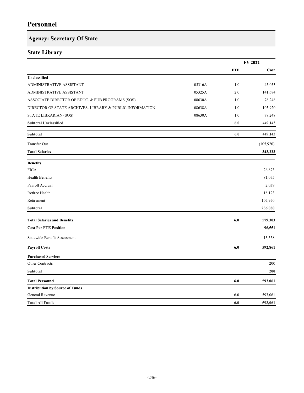# **Agency: Secretary Of State**

### **State Library**

|                                                         |        |            | FY 2022   |
|---------------------------------------------------------|--------|------------|-----------|
|                                                         |        | <b>FTE</b> | Cost      |
| Unclassified                                            |        |            |           |
| ADMINISTRATIVE ASSISTANT                                | 05316A | 1.0        | 45,053    |
| ADMINISTRATIVE ASSISTANT                                | 05325A | 2.0        | 141,674   |
| ASSOCIATE DIRECTOR OF EDUC. & PUB PROGRAMS (SOS)        | 08630A | 1.0        | 78,248    |
| DIRECTOR OF STATE ARCHIVES-LIBRARY & PUBLIC INFORMATION | 08638A | 1.0        | 105,920   |
| STATE LIBRARIAN (SOS)                                   | 08630A | 1.0        | 78,248    |
| <b>Subtotal Unclassified</b>                            |        | 6.0        | 449,143   |
| Subtotal                                                |        | 6.0        | 449,143   |
| <b>Transfer Out</b>                                     |        |            | (105,920) |
| <b>Total Salaries</b>                                   |        |            | 343,223   |
| <b>Benefits</b>                                         |        |            |           |
| <b>FICA</b>                                             |        |            | 26,873    |
| Health Benefits                                         |        |            | 81,075    |
| Payroll Accrual                                         |        |            | 2,039     |
| Retiree Health                                          |        |            | 18,123    |
| Retirement                                              |        |            | 107,970   |
| <b>Subtotal</b>                                         |        |            | 236,080   |
| <b>Total Salaries and Benefits</b>                      |        | 6.0        | 579,303   |
| <b>Cost Per FTE Position</b>                            |        |            | 96,551    |
| Statewide Benefit Assessment                            |        |            | 13,558    |
| <b>Payroll Costs</b>                                    |        | 6.0        | 592,861   |
| <b>Purchased Services</b>                               |        |            |           |
| Other Contracts                                         |        |            | 200       |
| Subtotal                                                |        |            | 200       |
| <b>Total Personnel</b>                                  |        | 6.0        | 593,061   |
| <b>Distribution by Source of Funds</b>                  |        |            |           |
| General Revenue                                         |        | 6.0        | 593,061   |
| <b>Total All Funds</b>                                  |        | 6.0        | 593,061   |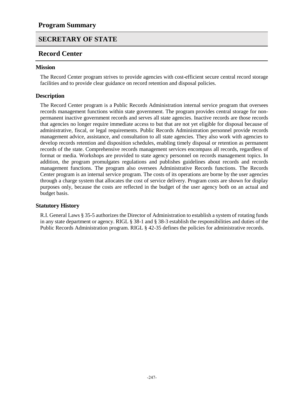### **Record Center**

#### **Mission**

The Record Center program strives to provide agencies with cost-efficient secure central record storage facilities and to provide clear guidance on record retention and disposal policies.

#### **Description**

The Record Center program is a Public Records Administration internal service program that oversees records management functions within state government. The program provides central storage for nonpermanent inactive government records and serves all state agencies. Inactive records are those records that agencies no longer require immediate access to but that are not yet eligible for disposal because of administrative, fiscal, or legal requirements. Public Records Administration personnel provide records management advice, assistance, and consultation to all state agencies. They also work with agencies to develop records retention and disposition schedules, enabling timely disposal or retention as permanent records of the state. Comprehensive records management services encompass all records, regardless of format or media. Workshops are provided to state agency personnel on records management topics. In addition, the program promulgates regulations and publishes guidelines about records and records management functions. The program also oversees Administrative Records functions. The Records Center program is an internal service program. The costs of its operations are borne by the user agencies through a charge system that allocates the cost of service delivery. Program costs are shown for display purposes only, because the costs are reflected in the budget of the user agency both on an actual and budget basis.

#### **Statutory History**

R.I. General Laws § 35-5 authorizes the Director of Administration to establish a system of rotating funds in any state department or agency. RIGL § 38-1 and § 38-3 establish the responsibilities and duties of the Public Records Administration program. RIGL § 42-35 defines the policies for administrative records.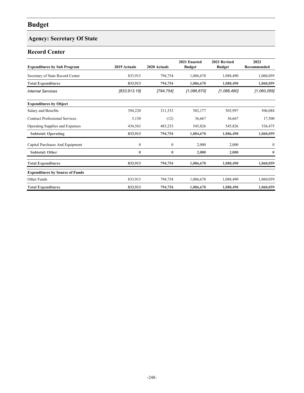# **Agency: Secretary Of State**

### **Record Center**

| <b>Expenditures by Sub Program</b>     | 2019 Actuals     | 2020 Actuals     | 2021 Enacted<br><b>Budget</b> | 2021 Revised<br><b>Budget</b> | 2022<br>Recommended |
|----------------------------------------|------------------|------------------|-------------------------------|-------------------------------|---------------------|
| Secretary of State Record Center       | 833,913          | 794,754          | 1,086,670                     | 1,088,490                     | 1,060,059           |
| <b>Total Expenditures</b>              | 833,913          | 794,754          | 1,086,670                     | 1,088,490                     | 1,060,059           |
| <b>Internal Services</b>               | [833, 913.19]    | [794,754]        | [1,086,670]                   | [1,088,490]                   | [1,060,059]         |
| <b>Expenditures by Object</b>          |                  |                  |                               |                               |                     |
| Salary and Benefits                    | 394,220          | 311,533          | 502,177                       | 503,997                       | 506,084             |
| <b>Contract Professional Services</b>  | 5,130            | (12)             | 36,667                        | 36,667                        | 17,500              |
| Operating Supplies and Expenses        | 434,563          | 483,233          | 545,826                       | 545,826                       | 536,475             |
| <b>Subtotal: Operating</b>             | 833,913          | 794,754          | 1,084,670                     | 1,086,490                     | 1,060,059           |
| Capital Purchases And Equipment        | $\boldsymbol{0}$ | $\boldsymbol{0}$ | 2,000                         | 2,000                         | $\boldsymbol{0}$    |
| <b>Subtotal: Other</b>                 | $\bf{0}$         | $\boldsymbol{0}$ | 2,000                         | 2,000                         | $\bf{0}$            |
| <b>Total Expenditures</b>              | 833,913          | 794,754          | 1,086,670                     | 1,088,490                     | 1,060,059           |
| <b>Expenditures by Source of Funds</b> |                  |                  |                               |                               |                     |
| Other Funds                            | 833,913          | 794,754          | 1,086,670                     | 1,088,490                     | 1,060,059           |
| <b>Total Expenditures</b>              | 833,913          | 794,754          | 1,086,670                     | 1,088,490                     | 1,060,059           |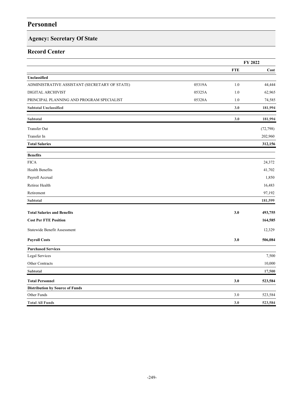# **Agency: Secretary Of State**

### **Record Center**

|                                               |        |            | FY 2022   |
|-----------------------------------------------|--------|------------|-----------|
|                                               |        | <b>FTE</b> | Cost      |
| Unclassified                                  |        |            |           |
| ADMINISTRATIVE ASSISTANT (SECRETARY OF STATE) | 05319A | 1.0        | 44,444    |
| DIGITAL ARCHIVIST                             | 05325A | 1.0        | 62,965    |
| PRINCIPAL PLANNING AND PROGRAM SPECIALIST     | 05328A | 1.0        | 74,585    |
| <b>Subtotal Unclassified</b>                  |        | 3.0        | 181,994   |
| Subtotal                                      |        | 3.0        | 181,994   |
| <b>Transfer Out</b>                           |        |            | (72, 798) |
| Transfer In                                   |        |            | 202,960   |
| <b>Total Salaries</b>                         |        |            | 312,156   |
| <b>Benefits</b>                               |        |            |           |
| <b>FICA</b>                                   |        |            | 24,372    |
| Health Benefits                               |        |            | 41,702    |
| Payroll Accrual                               |        |            | 1,850     |
| Retiree Health                                |        |            | 16,483    |
| Retirement                                    |        |            | 97,192    |
| <b>Subtotal</b>                               |        |            | 181,599   |
| <b>Total Salaries and Benefits</b>            |        | 3.0        | 493,755   |
| <b>Cost Per FTE Position</b>                  |        |            | 164,585   |
| Statewide Benefit Assessment                  |        |            | 12,329    |
| <b>Payroll Costs</b>                          |        | 3.0        | 506,084   |
| <b>Purchased Services</b>                     |        |            |           |
| Legal Services                                |        |            | 7,500     |
| Other Contracts                               |        |            | 10,000    |
| Subtotal                                      |        |            | 17,500    |
| <b>Total Personnel</b>                        |        | 3.0        | 523,584   |
| <b>Distribution by Source of Funds</b>        |        |            |           |
| Other Funds                                   |        | 3.0        | 523,584   |
| <b>Total All Funds</b>                        |        | 3.0        | 523,584   |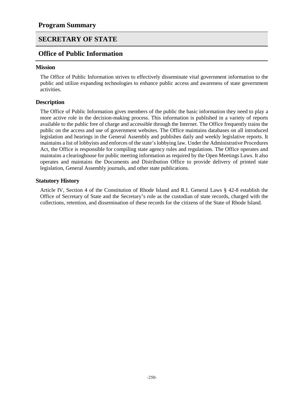### **Office of Public Information**

#### **Mission**

The Office of Public Information strives to effectively disseminate vital government information to the public and utilize expanding technologies to enhance public access and awareness of state government activities.

#### **Description**

The Office of Public Information gives members of the public the basic information they need to play a more active role in the decision-making process. This information is published in a variety of reports available to the public free of charge and accessible through the Internet. The Office frequently trains the public on the access and use of government websites. The Office maintains databases on all introduced legislation and hearings in the General Assembly and publishes daily and weekly legislative reports. It maintains a list of lobbyists and enforces of the state's lobbying law. Under the Administrative Procedures Act, the Office is responsible for compiling state agency rules and regulations. The Office operates and maintains a clearinghouse for public meeting information as required by the Open Meetings Laws. It also operates and maintains the Documents and Distribution Office to provide delivery of printed state legislation, General Assembly journals, and other state publications.

#### **Statutory History**

Article IV, Section 4 of the Constitution of Rhode Island and R.I. General Laws § 42-8 establish the Office of Secretary of State and the Secretary's role as the custodian of state records, charged with the collections, retention, and dissemination of these records for the citizens of the State of Rhode Island.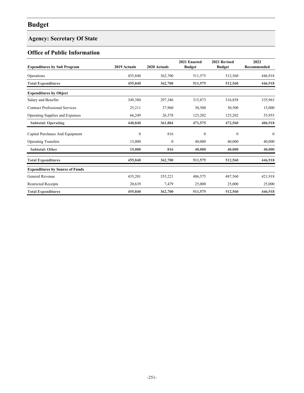# **Agency: Secretary Of State**

### **Office of Public Information**

| <b>Expenditures by Sub Program</b>     | 2019 Actuals     | 2020 Actuals | 2021 Enacted<br><b>Budget</b> | 2021 Revised<br><b>Budget</b> | 2022<br>Recommended |
|----------------------------------------|------------------|--------------|-------------------------------|-------------------------------|---------------------|
| Operations                             | 455,840          | 362,700      | 511,575                       | 512,560                       | 446,918             |
| <b>Total Expenditures</b>              | 455,840          | 362,700      | 511,575                       | 512,560                       | 446,918             |
| <b>Expenditures by Object</b>          |                  |              |                               |                               |                     |
| Salary and Benefits                    | 349,380          | 297,346      | 315,873                       | 316,858                       | 335,963             |
| <b>Contract Professional Services</b>  | 25,211           | 37,960       | 30,500                        | 30,500                        | 15,000              |
| Operating Supplies and Expenses        | 66,249           | 26,578       | 125,202                       | 125,202                       | 55,955              |
| <b>Subtotal: Operating</b>             | 440,840          | 361,884      | 471,575                       | 472,560                       | 406,918             |
| Capital Purchases And Equipment        | $\boldsymbol{0}$ | 816          | $\boldsymbol{0}$              | $\boldsymbol{0}$              | $\mathbf{0}$        |
| <b>Operating Transfers</b>             | 15,000           | $\mathbf{0}$ | 40,000                        | 40,000                        | 40,000              |
| <b>Subtotal: Other</b>                 | 15,000           | 816          | 40,000                        | 40,000                        | 40,000              |
| <b>Total Expenditures</b>              | 455,840          | 362,700      | 511,575                       | 512,560                       | 446,918             |
| <b>Expenditures by Source of Funds</b> |                  |              |                               |                               |                     |
| General Revenue                        | 435,201          | 355,221      | 486,575                       | 487,560                       | 421,918             |
| <b>Restricted Receipts</b>             | 20,639           | 7,479        | 25,000                        | 25,000                        | 25,000              |
| <b>Total Expenditures</b>              | 455,840          | 362,700      | 511,575                       | 512,560                       | 446,918             |